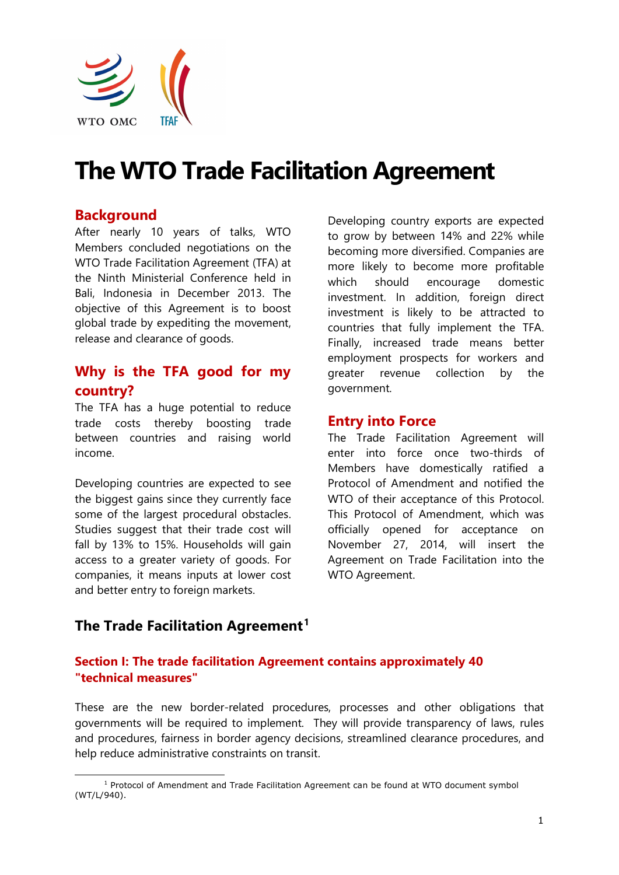

# **The WTO Trade Facilitation Agreement**

## **Background**

After nearly 10 years of talks, WTO Members concluded negotiations on the WTO Trade Facilitation Agreement (TFA) at the Ninth Ministerial Conference held in Bali, Indonesia in December 2013. The objective of this Agreement is to boost global trade by expediting the movement, release and clearance of goods.

## **Why is the TFA good for my country?**

The TFA has a huge potential to reduce trade costs thereby boosting trade between countries and raising world income.

Developing countries are expected to see the biggest gains since they currently face some of the largest procedural obstacles. Studies suggest that their trade cost will fall by 13% to 15%. Households will gain access to a greater variety of goods. For companies, it means inputs at lower cost and better entry to foreign markets.

Developing country exports are expected to grow by between 14% and 22% while becoming more diversified. Companies are more likely to become more profitable which should encourage domestic investment. In addition, foreign direct investment is likely to be attracted to countries that fully implement the TFA. Finally, increased trade means better employment prospects for workers and greater revenue collection by the government.

### **Entry into Force**

The Trade Facilitation Agreement will enter into force once two-thirds of Members have domestically ratified a Protocol of Amendment and notified the WTO of their acceptance of this Protocol. This Protocol of Amendment, which was officially opened for acceptance on November 27, 2014, will insert the Agreement on Trade Facilitation into the WTO Agreement.

# **The Trade Facilitation Agreement[1](#page-0-0)**

### **Section I: The trade facilitation Agreement contains approximately 40 "technical measures"**

These are the new border-related procedures, processes and other obligations that governments will be required to implement. They will provide transparency of laws, rules and procedures, fairness in border agency decisions, streamlined clearance procedures, and help reduce administrative constraints on transit.

<span id="page-0-0"></span><sup>1</sup> Protocol of Amendment and Trade Facilitation Agreement can be found at WTO document symbol (WT/L/940).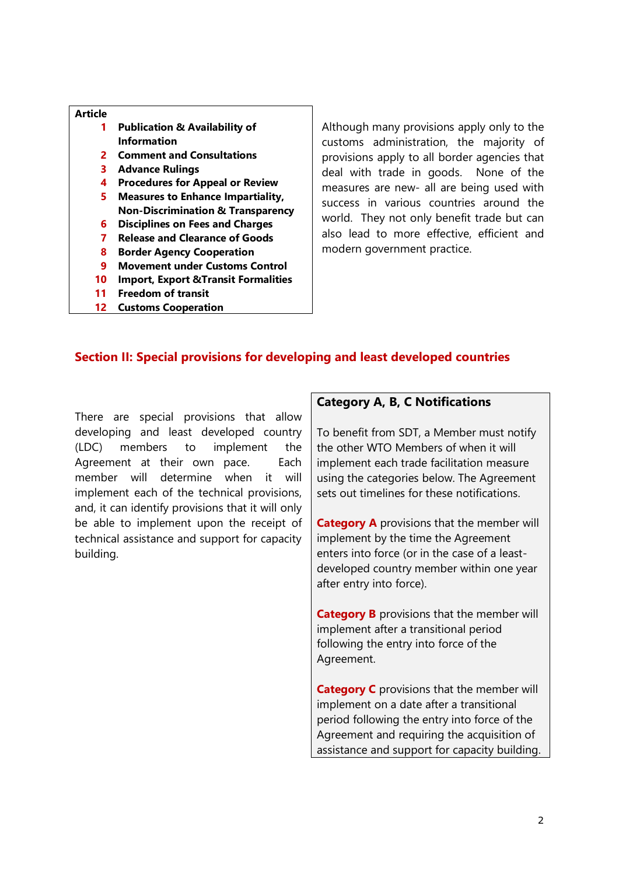- **1 Publication & Availability of Information**
- **2 Comment and Consultations**
- **3 Advance Rulings**
- **4 Procedures for Appeal or Review**
- **5 Measures to Enhance Impartiality, Non-Discrimination & Transparency**
- **6 Disciplines on Fees and Charges**
- **7 Release and Clearance of Goods**
- **8 Border Agency Cooperation**
- **9 Movement under Customs Control**
- **10 Import, Export &Transit Formalities**
- **11 Freedom of transit**
- **12 Customs Cooperation**

Although many provisions apply only to the customs administration, the majority of provisions apply to all border agencies that deal with trade in goods. None of the measures are new- all are being used with success in various countries around the world. They not only benefit trade but can also lead to more effective, efficient and modern government practice.

#### **Section II: Special provisions for developing and least developed countries**

There are special provisions that allow developing and least developed country (LDC) members to implement the Agreement at their own pace. Each member will determine when it will implement each of the technical provisions, and, it can identify provisions that it will only be able to implement upon the receipt of technical assistance and support for capacity building.

#### **Category A, B, C Notifications**

To benefit from SDT, a Member must notify the other WTO Members of when it will implement each trade facilitation measure using the categories below. The Agreement sets out timelines for these notifications.

**Category A** provisions that the member will implement by the time the Agreement enters into force (or in the case of a leastdeveloped country member within one year after entry into force).

**Category B** provisions that the member will implement after a transitional period following the entry into force of the Agreement.

**Category C** provisions that the member will implement on a date after a transitional period following the entry into force of the Agreement and requiring the acquisition of assistance and support for capacity building.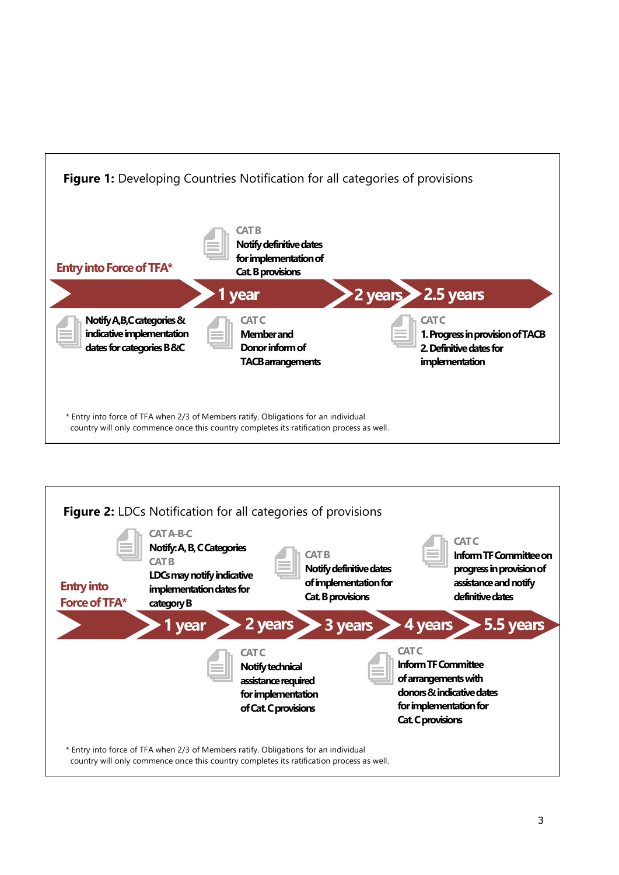